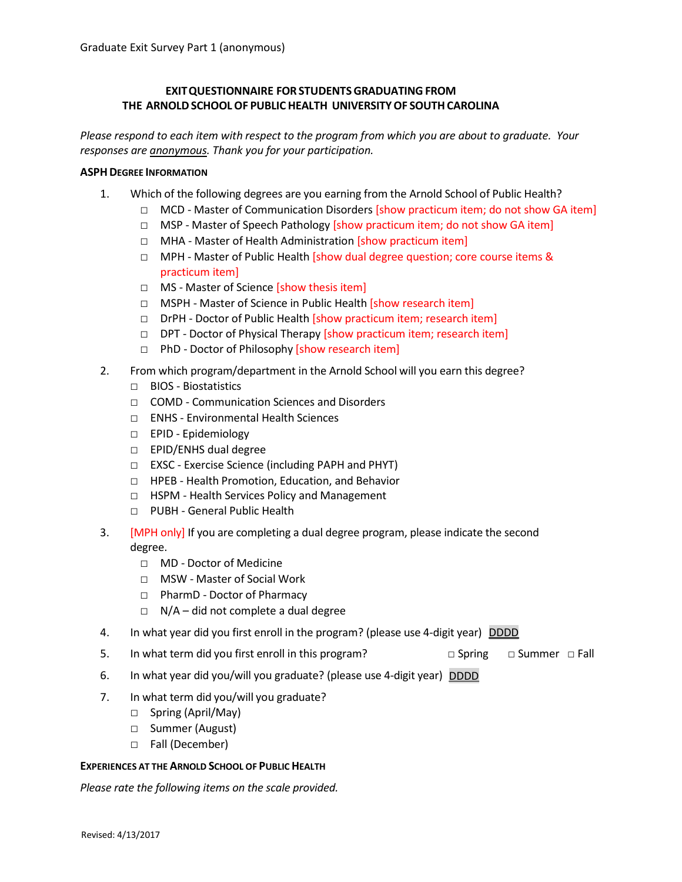# **EXITQUESTIONNAIRE FOR STUDENTSGRADUATING FROM THE ARNOLDSCHOOLOF PUBLIC HEALTH UNIVERSITYOF SOUTHCAROLINA**

*Please respond to each item with respect to the program from which you are about to graduate. Your responses are anonymous. Thank you for your participation.*

### **ASPHDEGREE INFORMATION**

- 1. Which of the following degrees are you earning from the Arnold School of Public Health?
	- □ MCD Master of Communication Disorders [show practicum item; do not show GA item]
	- □ MSP Master of Speech Pathology [show practicum item; do not show GA item]
	- □ MHA Master of Health Administration [show practicum item]
	- □ MPH Master of Public Health [show dual degree question; core course items & practicum item]
	- □ MS Master of Science [show thesis item]
	- □ MSPH Master of Science in Public Health [show research item]
	- □ DrPH Doctor of Public Health [show practicum item; research item]
	- □ DPT Doctor of Physical Therapy [show practicum item; research item]
	- □ PhD Doctor of Philosophy [show research item]
- 2. From which program/department in the Arnold School will you earn this degree?
	- □ BIOS Biostatistics
	- □ COMD Communication Sciences and Disorders
	- □ ENHS Environmental Health Sciences
	- □ EPID Epidemiology
	- □ EPID/ENHS dual degree
	- □ EXSC Exercise Science (including PAPH and PHYT)
	- □ HPEB Health Promotion, Education, and Behavior
	- □ HSPM Health Services Policy and Management
	- □ PUBH General Public Health
- 3. [MPH only] If you are completing a dual degree program, please indicate the second degree.
	- □ MD Doctor of Medicine
	- □ MSW Master of Social Work
	- □ PharmD Doctor of Pharmacy
	- $\Box$  N/A did not complete a dual degree
- 4. In what year did you first enroll in the program? (please use 4-digit year) DDDD
- 5. In what term did you first enroll in this program? □ □ Spring □ Summer □ Fall
- 6. In what year did you/will you graduate? (please use 4-digit year) DDDD
- 7. In what term did you/will you graduate?
	- □ Spring (April/May)
	- □ Summer (August)
	- □ Fall (December)

## **EXPERIENCES AT THE ARNOLD SCHOOL OF PUBLIC HEALTH**

*Please rate the following items on the scale provided.*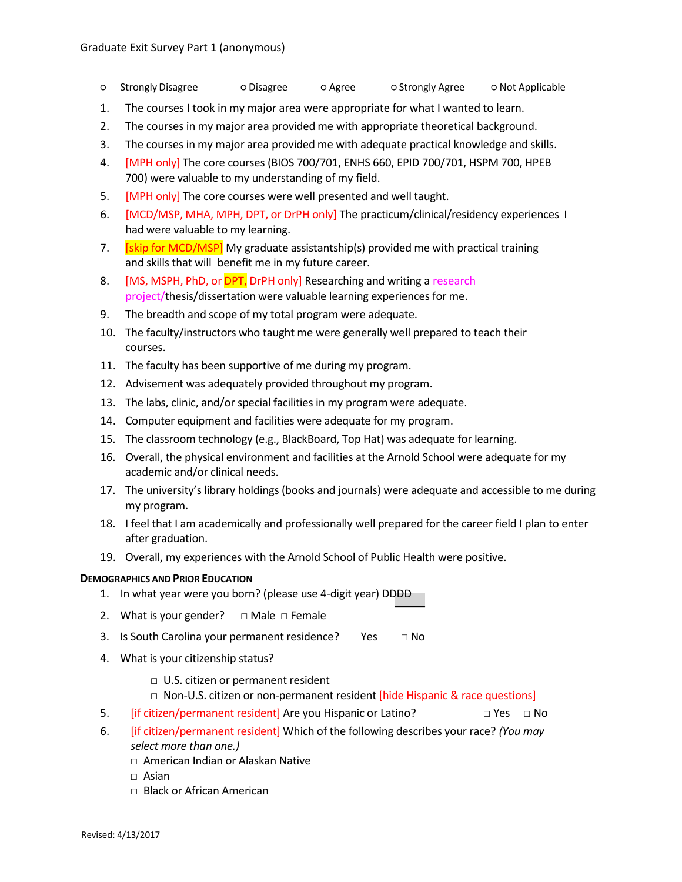- Strongly Disagree → Olisagree O Agree → Strongly Agree → Not Applicable
- 1. The courses I took in my major area were appropriate for what I wanted to learn.
- 2. The courses in my major area provided me with appropriate theoretical background.
- 3. The courses in my major area provided me with adequate practical knowledge and skills.
- 4. [MPH only] The core courses (BIOS 700/701, ENHS 660, EPID 700/701, HSPM 700, HPEB 700) were valuable to my understanding of my field.
- 5. **[MPH only]** The core courses were well presented and well taught.
- 6. [MCD/MSP, MHA, MPH, DPT, or DrPH only] The practicum/clinical/residency experiences 1 had were valuable to my learning.
- 7. **[skip for MCD/MSP]** My graduate assistantship(s) provided me with practical training and skills that will benefit me in my future career.
- 8. [MS, MSPH, PhD, or **DPT**, DrPH only] Researching and writing a research project/thesis/dissertation were valuable learning experiences for me.
- 9. The breadth and scope of my total program were adequate.
- 10. The faculty/instructors who taught me were generally well prepared to teach their courses.
- 11. The faculty has been supportive of me during my program.
- 12. Advisement was adequately provided throughout my program.
- 13. The labs, clinic, and/or special facilities in my program were adequate.
- 14. Computer equipment and facilities were adequate for my program.
- 15. The classroom technology (e.g., BlackBoard, Top Hat) was adequate for learning.
- 16. Overall, the physical environment and facilities at the Arnold School were adequate for my academic and/or clinical needs.
- 17. The university's library holdings (books and journals) were adequate and accessible to me during my program.
- 18. I feel that I am academically and professionally well prepared for the career field I plan to enter after graduation.
- 19. Overall, my experiences with the Arnold School of Public Health were positive.

#### **DEMOGRAPHICS AND PRIOR EDUCATION**

- 1. In what year were you born? (please use 4-digit year) DDDD
- 2. What is your gender?  $\Box$  Male  $\Box$  Female
- 3. Is South Carolina your permanent residence? Yes  $□$  No
- 4. What is your citizenship status?
	- □ U.S. citizen or permanent resident
	- □ Non-U.S. citizen or non-permanent resident [hide Hispanic & race questions]
- 5. **I** if citizen/permanent resident] Are you Hispanic or Latino? □ Yes □ No
- 6. [if citizen/permanent resident] Which of the following describes your race? *(You may select more than one.)*
	- □ American Indian or Alaskan Native
	- □ Asian
	- □ Black or African American